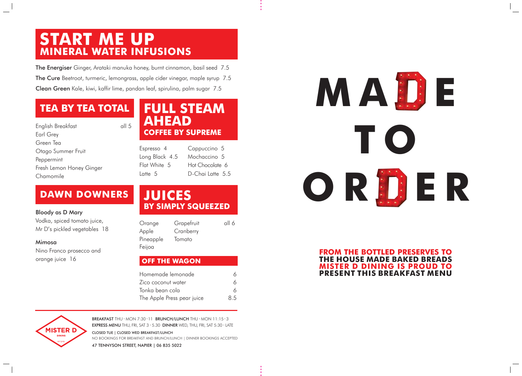### **START ME UP MINERAL WATER INFUSIONS**

### **FULL STEAM AHEAD COFFEE BY SUPREME**

### **TEA BY TEA TOTAL**

### **JUICES BY SIMPLY SQUEEZED**

### **DAWN DOWNERS**

BREAKFAST THU - MON 7:30 - 11 BRUNCH/LUNCH THU - MON 11:15 - 3 EXPRESS MENU THU, FRI, SAT 3 - 5.30 DINNER WED, THU, FRI, SAT 5:30 - LATE

CLOSED TUE | CLOSED WED BREAKFAST/LUNCH NO BOOKINGS FOR BREAKFAST AND BRUNCH/LUNCH | DINNER BOOKINGS ACCEPTED

47 TENNYSON STREET, NAPIER | 06 835 5022

| Espresso 4     |
|----------------|
| Long Black 4.5 |
| Flat White 5   |
| Latte 5        |

Cappuccino 5 Mochaccino 5 Hot Chocolate 6 D-Chai Latte 5.5

Nino Franco prosecco and orange juice 16

The Energiser Ginger, Arataki manuka honey, burnt cinnamon, basil seed 7.5 The Cure Beetroot, turmeric, lemongrass, apple cider vinegar, maple syrup 7.5 Clean Green Kale, kiwi, kaffir lime, pandan leaf, spirulina, palm sugar 7.5

| Orange               | Grapefruit | all 6 |  |
|----------------------|------------|-------|--|
| Apple                | Cranberry  |       |  |
| Pineapple<br>Feijoa  | Tomato     |       |  |
| <b>OFF THE WAGON</b> |            |       |  |

| English Breakfast        | all 5 |
|--------------------------|-------|
| Earl Grey                |       |
| Green Tea                |       |
| Otago Summer Fruit       |       |
| Peppermint               |       |
| Fresh Lemon Honey Ginger |       |
| Chamomile                |       |

| Homemade lemonade          |     |
|----------------------------|-----|
| Zico coconut water         | 6   |
| Tonka bean cola            | 6   |
| The Apple Press pear juice | 8.5 |



#### Bloody as D Mary

Vodka, spiced tomato juice, Mr D's pickled vegetables 18

#### Mimosa

# **M A D E T O O R D E R**

#### **FROM THE BOTTLED PRESERVES TO THE HOUSE MADE BAKED BREADS MISTER D DINING IS PROUD TO PRESENT THIS BREAKFAST MENU**







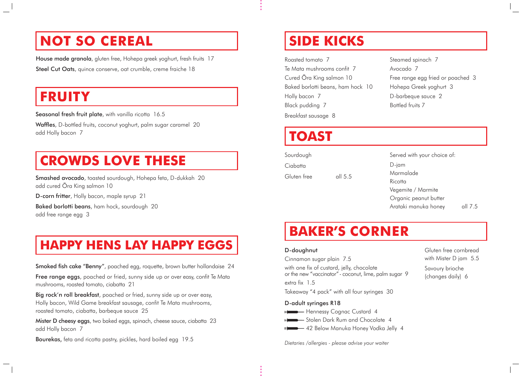# **NOT SO CEREAL**

House made granola, gluten free, Hohepa greek yoghurt, fresh fruits 17 Steel Cut Oats, quince conserve, oat crumble, creme fraiche 18

# **FRUITY**

Seasonal fresh fruit plate, with vanilla ricotta 16.5

## **CROWDS LOVE THESE**

### **HAPPY HENS LAY HAPPY EGGS**

Smoked fish cake "Benny", poached egg, roquette, brown butter hollandaise 24

Free range eggs, poached or fried, sunny side up or over easy, confit Te Mata mushrooms, roasted tomato, ciabatta 21

Big rock'n roll breakfast, poached or fried, sunny side up or over easy, Holly bacon, Wild Game breakfast sausage, confit Te Mata mushrooms, roasted tomato, ciabatta, barbeque sauce 25

Mister D cheesy eggs, two baked eggs, spinach, cheese sauce, ciabatta 23 add Holly bacon 7

Waffles, D-bottled fruits, coconut yoghurt, palm sugar caramel 20 add Holly bacon 7

Baked borlotti beans, ham hock, sourdough 20 add free range egg 3

Bourekas, feta and ricotta pastry, pickles, hard boiled egg 19.5

- Hennessy Cognac Custard 4
- $\Box$ Stolen Dark Rum and Chocolate 4
- 42 Below Manuka Honey Vodka Jelly 4

Sourdough **Ciabatta** Gluten free all 5.5

- D-jam
- Marmalade
- Ricotta
- Vegemite / Marmite
- Organic peanut butter
- Arataki manuka honey all 7.5

Smashed avocado, toasted sourdough, Hohepa feta, D-dukkah 20 add cured Ōra King salmon 10

D-corn fritter, Holly bacon, maple syrup 21

#### D-adult syringes R18

# **SIDE KICKS**

# **BAKER'S CORNER**

# **TOAST**

Roasted tomato 7 Te Mata mushrooms confit 7 Cured Ōra King salmon 10 Baked borlotti beans, ham hock 10 Holly bacon 7 Black pudding 7 Breakfast sausage 8

- Steamed spinach 7
- Avocado 7
- Free range egg fried or poached 3
- Hohepa Greek yoghurt 3
- D-barbeque sauce 2
- Bottled fruits 7

#### D-doughnut

Cinnamon sugar plain 7.5

with one fix of custard, jelly, chocolate or the new "vaccinator" - coconut, lime, palm sugar 9

extra fix 1.5

Takeaway "4 pack" with all four syringes 30

Served with your choice of:

*Dietaries /allergies - please advise your waiter*

Gluten free cornbread with Mister D jam 5.5

Savoury brioche (changes daily) 6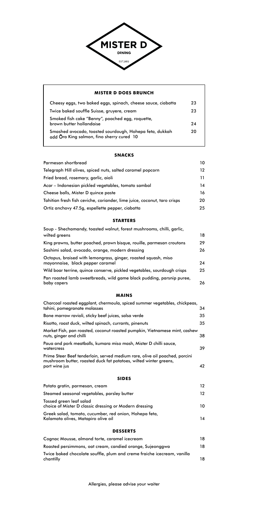#### **SNACKS**

| Parmesan shortbread                                                      | 10 |
|--------------------------------------------------------------------------|----|
| Telegraph Hill olives, spiced nuts, salted caramel popcorn               | 12 |
| Fried bread, rosemary, garlic, aioli                                     | 11 |
| Acar – Indonesian pickled vegetables, tomato sambal                      | 14 |
| Cheese balls, Mister D quince paste                                      | 16 |
| Tahitian fresh fish ceviche, coriander, lime juice, coconut, taro crisps | 20 |
| Ortiz anchovy 47.5g, espellette pepper, ciabatta                         | 25 |

#### **STARTERS**

| Soup - Shechamandy, toasted walnut, forest mushrooms, chilli, garlic,                              |    |
|----------------------------------------------------------------------------------------------------|----|
| wilted greens                                                                                      | 18 |
| King prawns, butter poached, prawn bisque, rouille, parmesan croutons                              | 29 |
| Sashimi salad, avocado, orange, modern dressing                                                    | 26 |
| Octopus, braised with lemongrass, ginger, roasted squash, miso<br>mayonnaise, black pepper caramel | 24 |
| Wild boar terrine, quince conserve, pickled vegetables, sourdough crisps                           | 25 |
| Pan roasted lamb sweetbreads, wild game black pudding, parsnip puree,<br>baby capers               | 26 |

#### **MAINS**

| Cognac Mousse, almond torte, caramel icecream                                        | 18 |
|--------------------------------------------------------------------------------------|----|
| Roasted persimmons, oat cream, candied orange, Sujeonggwa                            | 18 |
| Twice baked chocolate souffle, plum and creme fraiche icecream, vanilla<br>chantilly | 18 |

| Charcoal roasted eggplant, chermoula, spiced summer vegetables, chickpeas,<br>tahini, pomegranate molasses | 34  |
|------------------------------------------------------------------------------------------------------------|-----|
| Bone marrow ravioli, sticky beef juices, salsa verde                                                       | 35  |
| Risotto, roast duck, wilted spinach, currants, pinenuts                                                    | 35  |
| Market Fish, pan roasted, coconut roasted pumpkin, Vietnamese mint, cashew<br>nuts, ginger and chilli      | 38  |
| Paua and pork meatballs, kumara miso mash, Mister D chilli sauce,<br>watercress                            | 39. |
| Prime Steer Beef tenderloin, served medium rare, olive oil poached, porcini                                |     |
| mushroom butter, roasted duck fat potatoes, wilted winter greens,<br>port wine jus                         | 42  |

#### **SIDES**

| Potato gratin, parmesan, cream              |  |
|---------------------------------------------|--|
| Steamed seasonal vegetables, parsley butter |  |

| <u>ologiliod oodoolidi Togoldisios, paleidy bolloi</u>                                        |    |
|-----------------------------------------------------------------------------------------------|----|
| Tossed green leaf salad<br>choice of Mister D classic dressing or Modern dressing             | 10 |
| Greek salad, tomato, cucumber, red onion, Hohepa feta,<br>Kalamata olives, Matapiro olive oil | 14 |

#### **DESSERTS**



#### **MISTER D DOES BRUNCH**  Cheesy eggs, two baked eggs, spinach, cheese sauce, ciabatta 23 Twice baked souffle Suisse, gruyere, cream 23 Smoked fish cake "Benny", poached egg, roquette, brown butter hollandaise 24 Smashed avocado, toasted sourdough, Hohepa feta, dukkah 20 add Ōra King salmon, fino sherry cured 10

Allergies, please advise your waiter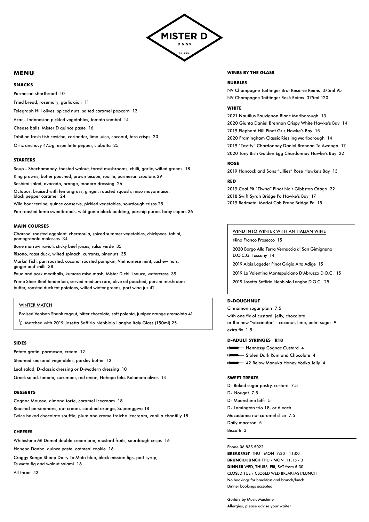

#### **MENU**

#### **SNACKS**

Parmesan shortbread 10 Fried bread, rosemary, garlic aioli 11 Telegraph Hill olives, spiced nuts, salted caramel popcorn 12 Acar - Indonesian pickled vegetables, tomato sambal 14 Cheese balls, Mister D quince paste 16 Tahitian fresh fish ceviche, coriander, lime juice, coconut, taro crisps 20 Ortiz anchovy 47.5g, espellette pepper, ciabatta 25

#### **STARTERS**

Soup - Shechamandy, toasted walnut, forest mushrooms, chilli, garlic, wilted greens 18 King prawns, butter poached, prawn bisque, rouille, parmesan croutons 29 Sashimi salad, avocado, orange, modern dressing 26 Octopus, braised with lemongrass, ginger, roasted squash, miso mayonnaise,

black pepper caramel 24 Wild boar terrine, quince conserve, pickled vegetables, sourdough crisps 25

Pan roasted lamb sweetbreads, wild game black pudding, parsnip puree, baby capers 26

#### **MAIN COURSES**

Charcoal roasted eggplant, chermoula, spiced summer vegetables, chickpeas, tahini, pomegranate molasses 34

Bone marrow ravioli, sticky beef juices, salsa verde 35

Risotto, roast duck, wilted spinach, currants, pinenuts 35

Market Fish, pan roasted, coconut roasted pumpkin, Vietnamese mint, cashew nuts, ginger and chilli 38

Paua and pork meatballs, kumara miso mash, Mister D chilli sauce, watercress 39

Prime Steer Beef tenderloin, served medium rare, olive oil poached, porcini mushroom butter, roasted duck fat potatoes, wilted winter greens, port wine jus 42

#### WINTER MATCH

Braised Venison Shank ragout, bitter chocolate, soft polenta, juniper orange gremolata 41

 $\sqrt{7}\,$  Matched with 2019 Josetta Saffirio Nebbiolo Langhe Italy Glass (150ml) 25

#### **SIDES**

Potato gratin, parmesan, cream 12

Steamed seasonal vegetables, parsley butter 12

Leaf salad, D-classic dressing or D-Modern dressing 10

Greek salad, tomato, cucumber, red onion, Hohepa feta, Kalamata olives 14

#### **DESSERTS**

Cognac Mousse, almond torte, caramel icecream 18

Roasted persimmons, oat cream, candied orange, Sujeonggwa 18

Twice baked chocolate souffle, plum and creme fraiche icecream, vanilla chantilly 18

#### **CHEESES**

Whitestone Mt Domet double cream brie, mustard fruits, sourdough crisps 16

Hohepa Danbo, quince paste, oatmeal cookie 16

Craggy Range Sheep Dairy Te Mata blue, black mission figs, port syrup, Te Mata fig and walnut salami 16

All three 42

#### **WINES BY THE GLASS**

#### **BUBBLES**

NV Champagne Taittinger Brut Reserve Reims 375ml 95 NV Champagne Taittinger Rosé Reims 375ml 120

#### **WHITE**

2021 Nautilus Sauvignon Blanc Marlborough 13 2020 Giunta Daniel Brennan Crispy White Hawke's Bay 14 2019 Elephant Hill Pinot Gris Hawke's Bay 15 2020 Framingham Classic Riesling Marlborough 14 2019 "Testify" Chardonnay Daniel Brennan Te Awanga 17 2020 Tony Bish Golden Egg Chardonnay Hawke's Bay 22

#### **ROSÉ**

2019 Hancock and Sons "Lillies" Rosé Hawke's Bay 13

#### **RED**

2019 Coal Pit "Tiwha" Pinot Noir Gibbston Otago 22 2018 Swift Syrah Bridge Pa Hawke's Bay 17 2019 Redmetal Merlot Cab Franc Bridge Pa 15

#### WIND INTO WINTER WITH AN ITALIAN WINE

Nino Franco Prosecco 15

2020 Borgo Alla Terra Vernaccia di San Gimignano D.O.C.G. Tuscany 14

2019 Alois Lageder Pinot Grigio Alto Adige 15

2019 La Valentina Montepulciano D'Abruzzo D.O.C. 15

2019 Josetta Saffirio Nebbiolo Langhe D.O.C. 25

#### **D-DOUGHNUT**

Cinnamon sugar plain 7.5

with one fix of custard, jelly, chocolate

or the new "vaccinator" - coconut, lime, palm sugar 9 extra fix 1.5

#### **D-ADULT SYRINGES R18**

- Hannessy Cognac Custard 4
- $\longmapsto$  Stolen Dark Rum and Chocolate 4

42 Below Manuka Honey Vodka Jelly 4

#### **SWEET TREATS**

- D- Baked sugar pastry, custard 7.5
- D- Nougat 7.5

D- Moonshine biffs 5

D- Lamington trio 18, or 6 each

Macadamia nut caramel slice 7.5

Daily macaron 5

Biscotti 3

Phone 06 835 5022 **BREAKFAST** THU - MON 7:30 - 11:00 **BRUNCH/LUNCH** THU - MON 11:15 - 3 **DINNER** WED, THURS, FRI, SAT from 5:30 CLOSED TUE / CLOSED WED BREAKFAST/LUNCH No bookings for breakfast and brunch/lunch. Dinner bookings accepted.

Guitars by Music Machine

Allergies, please advise your waiter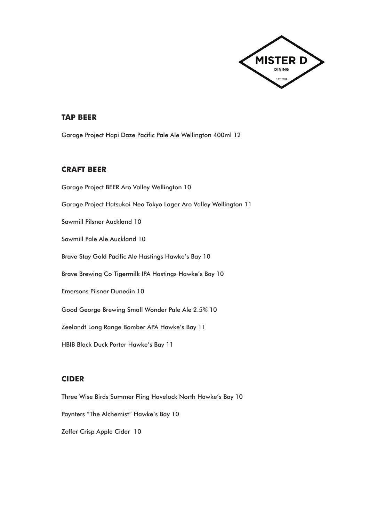

#### **TAP BEER**

Garage Project Hapi Daze Pacific Pale Ale Wellington 400ml 12

#### **CRAFT BEER**

Garage Project BEER Aro Valley Wellington 10 Garage Project Hatsukoi Neo Tokyo Lager Aro Valley Wellington 11 Sawmill Pilsner Auckland 10 Sawmill Pale Ale Auckland 10 Brave Stay Gold Pacific Ale Hastings Hawke's Bay 10 Brave Brewing Co Tigermilk IPA Hastings Hawke's Bay 10 Emersons Pilsner Dunedin 10 Good George Brewing Small Wonder Pale Ale 2.5% 10 Zeelandt Long Range Bomber APA Hawke's Bay 11 HBIB Black Duck Porter Hawke's Bay 11

#### **CIDER**

Three Wise Birds Summer Fling Havelock North Hawke's Bay 10 Paynters "The Alchemist" Hawke's Bay 10 Zeffer Crisp Apple Cider 10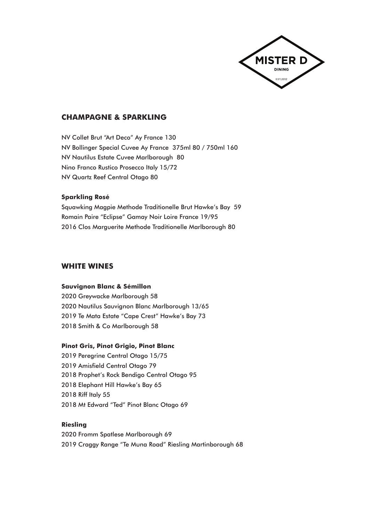

#### **CHAMPAGNE & SPARKLING**

NV Collet Brut "Art Deco" Ay France 130 NV Bollinger Special Cuvee Ay France 375ml 80 / 750ml 160 NV Nautilus Estate Cuvee Marlborough 80 Nino Franco Rustico Prosecco Italy 15/72 NV Quartz Reef Central Otago 80

#### **Sparkling Rosé**

Squawking Magpie Methode Traditionelle Brut Hawke's Bay 59 Romain Paire "Eclipse" Gamay Noir Loire France 19/95 2016 Clos Marguerite Methode Traditionelle Marlborough 80

#### **WHITE WINES**

#### **Sauvignon Blanc & Sémillon**

2020 Greywacke Marlborough 58 2020 Nautilus Sauvignon Blanc Marlborough 13/65 2019 Te Mata Estate "Cape Crest" Hawke's Bay 73 2018 Smith & Co Marlborough 58

#### **Pinot Gris, Pinot Grigio, Pinot Blanc**

2019 Peregrine Central Otago 15/75 2019 Amisfield Central Otago 79 2018 Prophet's Rock Bendigo Central Otago 95 2018 Elephant Hill Hawke's Bay 65 2018 Riff Italy 55 2018 Mt Edward "Ted" Pinot Blanc Otago 69

#### **Riesling**

2020 Fromm Spatlese Marlborough 69 2019 Craggy Range "Te Muna Road" Riesling Martinborough 68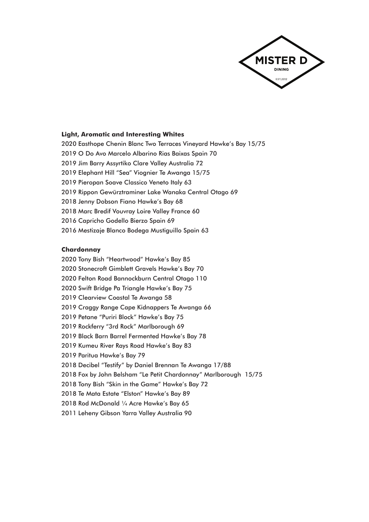

#### **Light, Aromatic and Interesting Whites**

2020 Easthope Chenin Blanc Two Terraces Vineyard Hawke's Bay 15/75

- 2019 O Do Avo Marcelo Albarino Rias Baixas Spain 70
- 2019 Jim Barry Assyrtiko Clare Valley Australia 72
- 2019 Elephant Hill "Sea" Viognier Te Awanga 15/75
- 2019 Pieropan Soave Classico Veneto Italy 63
- 2019 Rippon Gewürztraminer Lake Wanaka Central Otago 69
- 2018 Jenny Dobson Fiano Hawke's Bay 68
- 2018 Marc Bredif Vouvray Loire Valley France 60
- 2016 Capricho Godello Bierzo Spain 69
- 2016 Mestizaje Blanco Bodega Mustiguillo Spain 63

#### **Chardonnay**

2020 Tony Bish "Heartwood" Hawke's Bay 85 2020 Stonecroft Gimblett Gravels Hawke's Bay 70 2020 Felton Road Bannockburn Central Otago 110 2020 Swift Bridge Pa Triangle Hawke's Bay 75 2019 Clearview Coastal Te Awanga 58 2019 Craggy Range Cape Kidnappers Te Awanga 66 2019 Petane "Puriri Block" Hawke's Bay 75 2019 Rockferry "3rd Rock" Marlborough 69 2019 Black Barn Barrel Fermented Hawke's Bay 78 2019 Kumeu River Rays Road Hawke's Bay 83 2019 Paritua Hawke's Bay 79 2018 Decibel "Testify" by Daniel Brennan Te Awanga 17/88 2018 Fox by John Belsham "Le Petit Chardonnay" Marlborough 15/75 2018 Tony Bish "Skin in the Game" Hawke's Bay 72

2018 Te Mata Estate "Elston" Hawke's Bay 89

- 2018 Rod McDonald ¼ Acre Hawke's Bay 65
- 2011 Leheny Gibson Yarra Valley Australia 90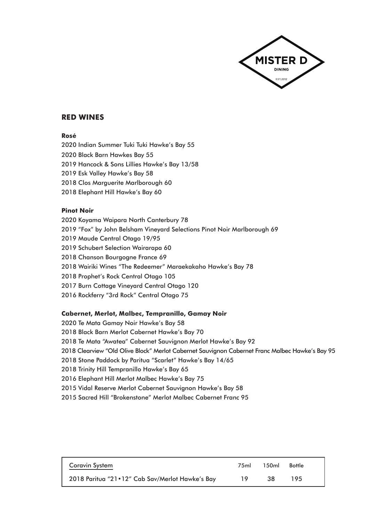

#### **RED WINES**

#### **Rosé**

2020 Indian Summer Tuki Tuki Hawke's Bay 55

- 2020 Black Barn Hawkes Bay 55
- 2019 Hancock & Sons Lillies Hawke's Bay 13/58
- 2019 Esk Valley Hawke's Bay 58
- 2018 Clos Marguerite Marlborough 60
- 2018 Elephant Hill Hawke's Bay 60

#### **Pinot Noir**

- 2020 Koyama Waipara North Canterbury 78
- 2019 "Fox" by John Belsham Vineyard Selections Pinot Noir Marlborough 69
- 2019 Maude Central Otago 19/95
- 2019 Schubert Selection Wairarapa 60
- 2018 Chanson Bourgogne France 69
- 2018 Wairiki Wines "The Redeemer" Maraekakaho Hawke's Bay 78
- 2018 Prophet's Rock Central Otago 105
- 2017 Burn Cottage Vineyard Central Otago 120
- 2016 Rockferry "3rd Rock" Central Otago 75

#### **Cabernet, Merlot, Malbec, Tempranillo, Gamay Noir**

2020 Te Mata Gamay Noir Hawke's Bay 58 2018 Black Barn Merlot Cabernet Hawke's Bay 70 2018 Te Mata "Awatea" Cabernet Sauvignon Merlot Hawke's Bay 92 2018 Clearview "Old Olive Block" Merlot Cabernet Sauvignon Cabernet Franc Malbec Hawke's Bay 95 2018 Stone Paddock by Paritua "Scarlet" Hawke's Bay 14/65 2018 Trinity Hill Tempranillo Hawke's Bay 65 2016 Elephant Hill Merlot Malbec Hawke's Bay 75 2015 Vidal Reserve Merlot Cabernet Sauvignon Hawke's Bay 58 2015 Sacred Hill "Brokenstone" Merlot Malbec Cabernet Franc 95

| Coravin System                                  | 75ml | 150mL | <b>Bottle</b> |  |
|-------------------------------------------------|------|-------|---------------|--|
| 2018 Paritua "21.12" Cab Sav/Merlot Hawke's Bay | 19   | 38    | 195           |  |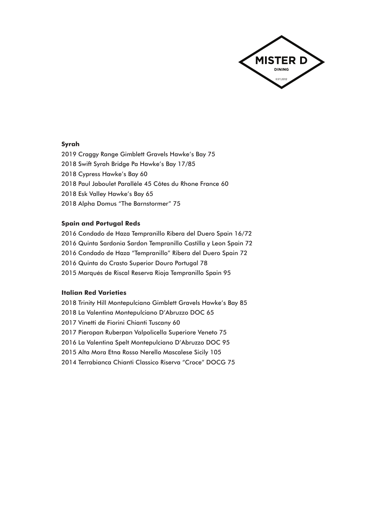

#### **Syrah**

- 2019 Craggy Range Gimblett Gravels Hawke's Bay 75
- 2018 Swift Syrah Bridge Pa Hawke's Bay 17/85
- 2018 Cypress Hawke's Bay 60
- 2018 Paul Jaboulet Parallèle 45 Côtes du Rhone France 60
- 2018 Esk Valley Hawke's Bay 65
- 2018 Alpha Domus "The Barnstormer" 75

#### **Spain and Portugal Reds**

2016 Condado de Haza Tempranillo Ribera del Duero Spain 16/72 2016 Quinta Sardonia Sardon Tempranillo Castilla y Leon Spain 72 2016 Condado de Haza "Tempranillo" Ribera del Duero Spain 72 2016 Quinta do Crasto Superior Douro Portugal 78 2015 Marqués de Riscal Reserva Rioja Tempranillo Spain 95

#### **Italian Red Varieties**

2018 Trinity Hill Montepulciano Gimblett Gravels Hawke's Bay 85 2018 La Valentina Montepulciano D'Abruzzo DOC 65 2017 Vinetti de Fiorini Chianti Tuscany 60 2017 Pieropan Ruberpan Valpolicella Superiore Veneto 75 2016 La Valentina Spelt Montepulciano D'Abruzzo DOC 95 2015 Alta Mora Etna Rosso Nerello Mascalese Sicily 105 2014 Terrabianca Chianti Classico Riserva "Croce" DOCG 75